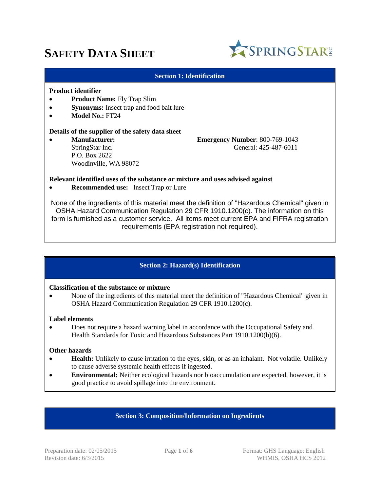# **SAFETY DATA SHEET**



#### **Section 1: Identification**

#### **Product identifier**

- **•** Product Name: Fly Trap Slim
- **Synonyms:** Insect trap and food bait lure
- **Model No.:** FT24

#### **Details of the supplier of the safety data sheet**

 P.O. Box 2622 Woodinville, WA 98072

 **Manufacturer: Emergency Number**: 800-769-1043 SpringStar Inc. General: 425-487-6011

#### **Relevant identified uses of the substance or mixture and uses advised against**

**Recommended use:** Insect Trap or Lure

None of the ingredients of this material meet the definition of "Hazardous Chemical" given in OSHA Hazard Communication Regulation 29 CFR 1910.1200(c). The information on this form is furnished as a customer service. All items meet current EPA and FIFRA registration requirements (EPA registration not required).

# **Section 2: Hazard(s) Identification**

#### **Classification of the substance or mixture**

 None of the ingredients of this material meet the definition of "Hazardous Chemical" given in OSHA Hazard Communication Regulation 29 CFR 1910.1200(c).

#### **Label elements**

 Does not require a hazard warning label in accordance with the Occupational Safety and Health Standards for Toxic and Hazardous Substances Part 1910.1200(b)(6).

#### **Other hazards**

- **Health:** Unlikely to cause irritation to the eyes, skin, or as an inhalant. Not volatile. Unlikely to cause adverse systemic health effects if ingested.
- **Environmental:** Neither ecological hazards nor bioaccumulation are expected, however, it is good practice to avoid spillage into the environment.

#### **Section 3: Composition/Information on Ingredients**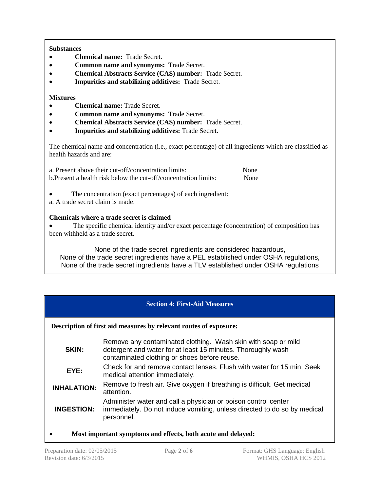# **Substances**

- **Chemical name:** Trade Secret.
- **Common name and synonyms:** Trade Secret.
- **Chemical Abstracts Service (CAS) number:** Trade Secret.
- **Impurities and stabilizing additives:** Trade Secret.

# **Mixtures**

- **Chemical name:** Trade Secret.
- **Common name and synonyms:** Trade Secret.
- **Chemical Abstracts Service (CAS) number:** Trade Secret.
- **Impurities and stabilizing additives:** Trade Secret.

The chemical name and concentration (i.e., exact percentage) of all ingredients which are classified as health hazards and are:

| a. Present above their cut-off/concentration limits:             | None |
|------------------------------------------------------------------|------|
| b. Present a health risk below the cut-off/concentration limits: | None |

- The concentration (exact percentages) of each ingredient:
- a. A trade secret claim is made.

# **Chemicals where a trade secret is claimed**

 The specific chemical identity and/or exact percentage (concentration) of composition has been withheld as a trade secret.

None of the trade secret ingredients are considered hazardous, None of the trade secret ingredients have a PEL established under OSHA regulations, None of the trade secret ingredients have a TLV established under OSHA regulations

# **Section 4: First-Aid Measures**

**Description of first aid measures by relevant routes of exposure:**

| Remove any contaminated clothing. Wash skin with soap or mild<br>detergent and water for at least 15 minutes. Thoroughly wash<br>contaminated clothing or shoes before reuse. |
|-------------------------------------------------------------------------------------------------------------------------------------------------------------------------------|
| Check for and remove contact lenses. Flush with water for 15 min. Seek<br>medical attention immediately.                                                                      |
| Remove to fresh air. Give oxygen if breathing is difficult. Get medical<br>attention.                                                                                         |
| Administer water and call a physician or poison control center<br>immediately. Do not induce vomiting, unless directed to do so by medical<br>personnel.                      |
|                                                                                                                                                                               |

**Most important symptoms and effects, both acute and delayed:**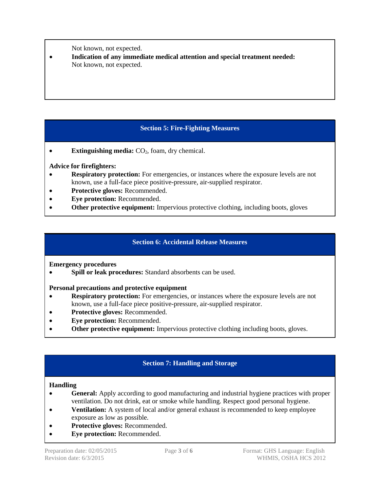Not known, not expected.

 **Indication of any immediate medical attention and special treatment needed:**  Not known, not expected.

# **Section 5: Fire-Fighting Measures**

**Extinguishing media:**  $CO<sub>2</sub>$ , foam, dry chemical.

# **Advice for firefighters:**

- **Respiratory protection:** For emergencies, or instances where the exposure levels are not known, use a full-face piece positive-pressure, air-supplied respirator.
- **Protective gloves:** Recommended.
- **Eye protection:** Recommended.
- **Other protective equipment:** Impervious protective clothing, including boots, gloves

# **Section 6: Accidental Release Measures**

**Emergency procedures**

**Spill or leak procedures:** Standard absorbents can be used.

# **Personal precautions and protective equipment**

- **Respiratory protection:** For emergencies, or instances where the exposure levels are not known, use a full-face piece positive-pressure, air-supplied respirator.
- **Protective gloves:** Recommended.
- **Eye protection:** Recommended.
- **Other protective equipment:** Impervious protective clothing including boots, gloves.

# **Section 7: Handling and Storage**

# **Handling**

- **General:** Apply according to good manufacturing and industrial hygiene practices with proper ventilation. Do not drink, eat or smoke while handling. Respect good personal hygiene.
- **Ventilation:** A system of local and/or general exhaust is recommended to keep employee exposure as low as possible.
- **Protective gloves:** Recommended.
- **Eye protection:** Recommended.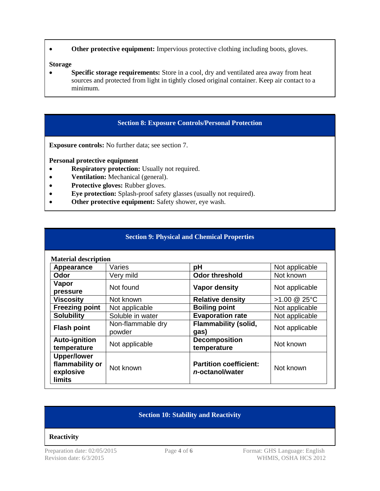**Other protective equipment:** Impervious protective clothing including boots, gloves.

#### **Storage**

• **Specific storage requirements:** Store in a cool, dry and ventilated area away from heat sources and protected from light in tightly closed original container. Keep air contact to a minimum.

# **Section 8: Exposure Controls/Personal Protection**

**Exposure controls:** No further data; see section 7.

**Personal protective equipment**

- **• Respiratory protection:** Usually not required.
- **• Ventilation:** Mechanical (general).
- **Protective gloves:** Rubber gloves.
- **Eye protection:** Splash-proof safety glasses (usually not required).
- **Other protective equipment:** Safety shower, eye wash.

## **Section 9: Physical and Chemical Properties**

| <b>Material description</b>                                         |                             |                                                  |                |
|---------------------------------------------------------------------|-----------------------------|--------------------------------------------------|----------------|
| Appearance                                                          | Varies                      | pH                                               | Not applicable |
| <b>Odor</b>                                                         | Very mild                   | <b>Odor threshold</b>                            | Not known      |
| Vapor<br>pressure                                                   | Not found                   | <b>Vapor density</b>                             | Not applicable |
| <b>Viscosity</b>                                                    | Not known                   | <b>Relative density</b>                          | >1.00 @ 25°C   |
| <b>Freezing point</b>                                               | Not applicable              | <b>Boiling point</b>                             | Not applicable |
| <b>Solubility</b>                                                   | Soluble in water            | <b>Evaporation rate</b>                          | Not applicable |
| <b>Flash point</b>                                                  | Non-flammable dry<br>powder | <b>Flammability (solid,</b><br>gas)              | Not applicable |
| Auto-ignition<br>temperature                                        | Not applicable              | <b>Decomposition</b><br>temperature              | Not known      |
| <b>Upper/lower</b><br>flammability or<br>explosive<br><b>limits</b> | Not known                   | <b>Partition coefficient:</b><br>n-octanol/water | Not known      |

# **Section 10: Stability and Reactivity**

#### **Reactivity**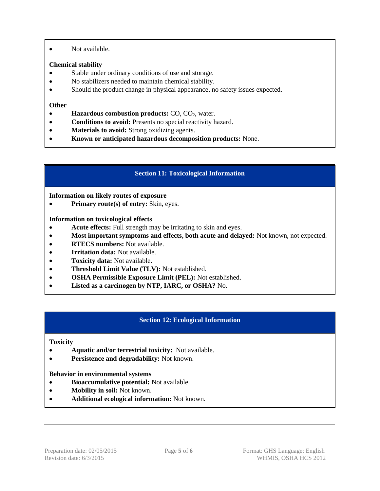Not available.

# **Chemical stability**

- Stable under ordinary conditions of use and storage.
- No stabilizers needed to maintain chemical stability.
- Should the product change in physical appearance, no safety issues expected.

## **Other**

- **Hazardous combustion products: CO, CO<sub>2</sub>, water.**
- **Conditions to avoid:** Presents no special reactivity hazard.
- **Materials to avoid:** Strong oxidizing agents.
- **Known or anticipated hazardous decomposition products:** None.

# **Section 11: Toxicological Information**

## **Information on likely routes of exposure**

• **Primary route(s) of entry:** Skin, eyes.

**Information on toxicological effects**

- **Acute effects:** Full strength may be irritating to skin and eyes.
- **Most important symptoms and effects, both acute and delayed:** Not known, not expected.
- **• RTECS numbers:** Not available.
- **Irritation data:** Not available.
- **Toxicity data:** Not available.
- **Threshold Limit Value (TLV):** Not established.
- **OSHA Permissible Exposure Limit (PEL):** Not established.
- **Listed as a carcinogen by NTP, IARC, or OSHA?** No.

# **Section 12: Ecological Information**

#### **Toxicity**

- **Aquatic and/or terrestrial toxicity:** Not available.
- **• Persistence and degradability:** Not known.

#### **Behavior in environmental systems**

- **Bioaccumulative potential:** Not available.
- **Mobility in soil:** Not known.
- **Additional ecological information:** Not known.